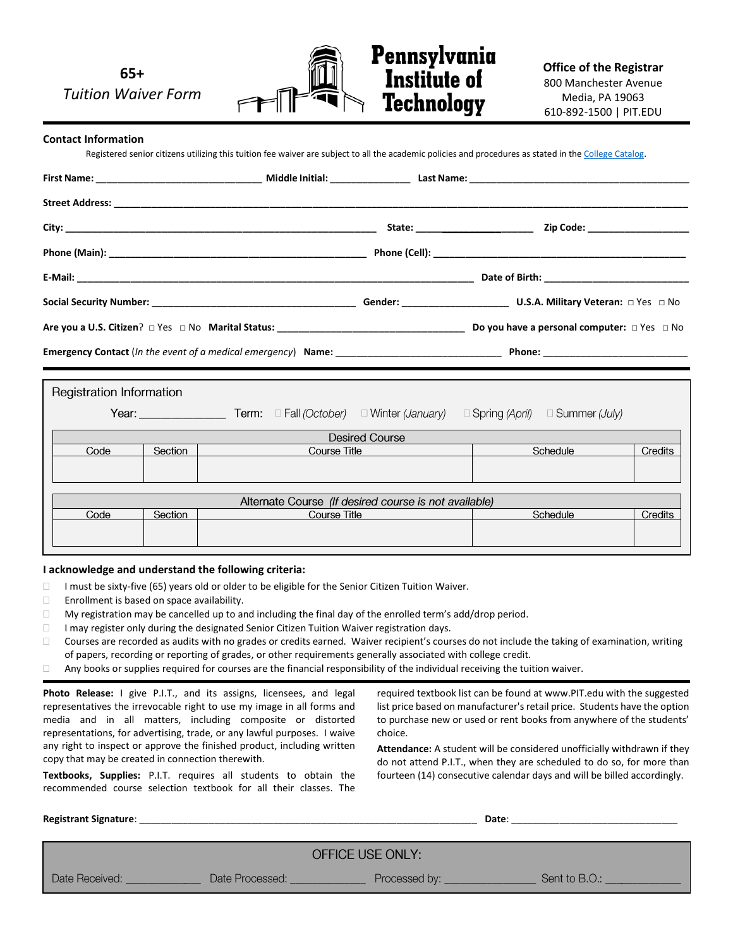**65+** *Tuition Waiver Form*



**Office of the Registrar** 800 Manchester Avenue Media, PA 19063 610-892-1500 | PIT.EDU

#### **Contact Information**

Registered senior citizens utilizing this tuition fee waiver are subject to all the academic policies and procedures as stated in th[e College Catalog.](https://www.pit.edu/academics/course-catalog/)

|                                                       | Registration Information |  |                     |  |          |          |         |  |  |  |
|-------------------------------------------------------|--------------------------|--|---------------------|--|----------|----------|---------|--|--|--|
|                                                       |                          |  |                     |  |          |          |         |  |  |  |
| <b>Desired Course</b>                                 |                          |  |                     |  |          |          |         |  |  |  |
|                                                       | Code<br>Section          |  | Course Title        |  | Schedule |          | Credits |  |  |  |
|                                                       |                          |  |                     |  |          |          |         |  |  |  |
|                                                       |                          |  |                     |  |          |          |         |  |  |  |
| Alternate Course (If desired course is not available) |                          |  |                     |  |          |          |         |  |  |  |
| Code<br>Section                                       |                          |  | <b>Course Title</b> |  |          | Schedule | Credits |  |  |  |
|                                                       |                          |  |                     |  |          |          |         |  |  |  |

#### **I acknowledge and understand the following criteria:**

- $\Box$  I must be sixty-five (65) years old or older to be eligible for the Senior Citizen Tuition Waiver.
- $\Box$  Enrollment is based on space availability.
- $\Box$  My registration may be cancelled up to and including the final day of the enrolled term's add/drop period.
- □ I may register only during the designated Senior Citizen Tuition Waiver registration days.
- $\Box$  Courses are recorded as audits with no grades or credits earned. Waiver recipient's courses do not include the taking of examination, writing of papers, recording or reporting of grades, or other requirements generally associated with college credit.
- $\Box$  Any books or supplies required for courses are the financial responsibility of the individual receiving the tuition waiver.

**Photo Release:** I give P.I.T., and its assigns, licensees, and legal representatives the irrevocable right to use my image in all forms and media and in all matters, including composite or distorted representations, for advertising, trade, or any lawful purposes. I waive any right to inspect or approve the finished product, including written copy that may be created in connection therewith.

**Textbooks, Supplies:** P.I.T. requires all students to obtain the recommended course selection textbook for all their classes. The

required textbook list can be found at www.PIT.edu with the suggested list price based on manufacturer's retail price. Students have the option to purchase new or used or rent books from anywhere of the students' choice.

**Attendance:** A student will be considered unofficially withdrawn if they do not attend P.I.T., when they are scheduled to do so, for more than fourteen (14) consecutive calendar days and will be billed accordingly.

| <b>Registrant Signature:</b> |                 | Date:            |               |
|------------------------------|-----------------|------------------|---------------|
|                              |                 | OFFICE USE ONLY: |               |
| Date Received:               | Date Processed: | Processed by:    | Sent to B.O.: |
|                              |                 |                  |               |